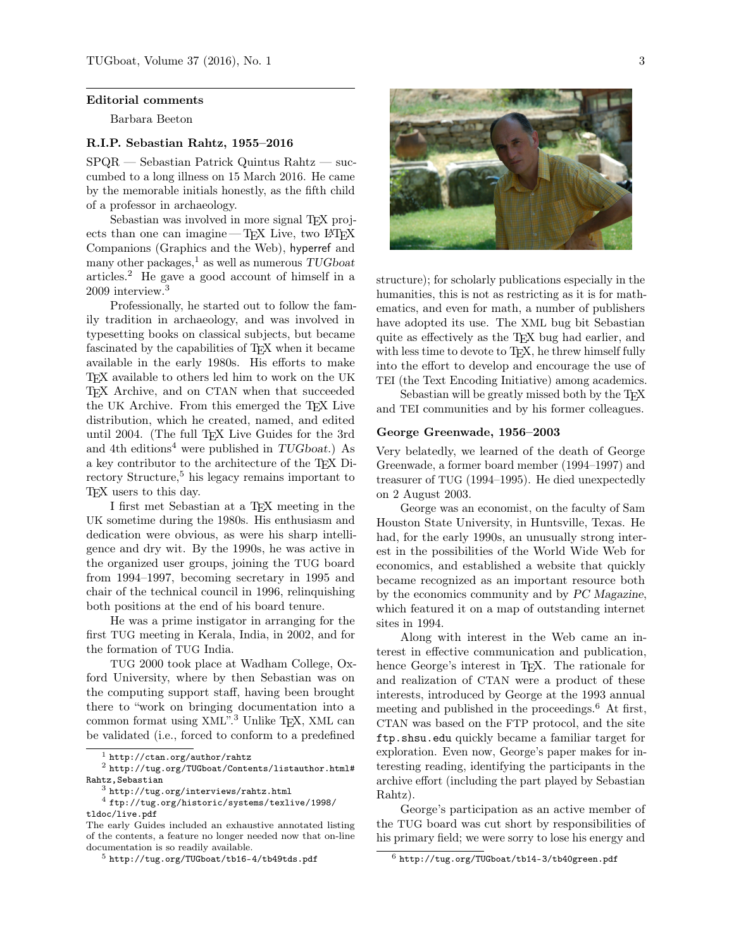#### Editorial comments

Barbara Beeton

## R.I.P. Sebastian Rahtz, 1955–2016

SPQR — Sebastian Patrick Quintus Rahtz — succumbed to a long illness on 15 March 2016. He came by the memorable initials honestly, as the fifth child of a professor in archaeology.

Sebastian was involved in more signal T<sub>EX</sub> projects than one can imagine—TEX Live, two  $\angle$ ATEX Companions (Graphics and the Web), hyperref and many other packages,<sup>1</sup> as well as numerous  $TUGboat$ articles.<sup>2</sup> He gave a good account of himself in a 2009 interview.<sup>3</sup>

Professionally, he started out to follow the family tradition in archaeology, and was involved in typesetting books on classical subjects, but became fascinated by the capabilities of T<sub>E</sub>X when it became available in the early 1980s. His efforts to make TEX available to others led him to work on the UK TEX Archive, and on CTAN when that succeeded the UK Archive. From this emerged the TEX Live distribution, which he created, named, and edited until 2004. (The full TEX Live Guides for the 3rd and 4th editions<sup>4</sup> were published in  $TUGboat.$ ) As a key contributor to the architecture of the TEX Directory Structure,<sup>5</sup> his legacy remains important to TEX users to this day.

I first met Sebastian at a TEX meeting in the UK sometime during the 1980s. His enthusiasm and dedication were obvious, as were his sharp intelligence and dry wit. By the 1990s, he was active in the organized user groups, joining the TUG board from 1994–1997, becoming secretary in 1995 and chair of the technical council in 1996, relinquishing both positions at the end of his board tenure.

He was a prime instigator in arranging for the first TUG meeting in Kerala, India, in 2002, and for the formation of TUG India.

TUG 2000 took place at Wadham College, Oxford University, where by then Sebastian was on the computing support staff, having been brought there to "work on bringing documentation into a common format using XML".<sup>3</sup> Unlike TEX, XML can be validated (i.e., forced to conform to a predefined

 $^4$  ftp://tug.org/historic/systems/texlive/1998/

tldoc/live.pdf

The early Guides included an exhaustive annotated listing of the contents, a feature no longer needed now that on-line documentation is so readily available.



structure); for scholarly publications especially in the humanities, this is not as restricting as it is for mathematics, and even for math, a number of publishers have adopted its use. The XML bug bit Sebastian quite as effectively as the TEX bug had earlier, and with less time to devote to T<sub>E</sub>X, he threw himself fully into the effort to develop and encourage the use of TEI (the Text Encoding Initiative) among academics.

Sebastian will be greatly missed both by the T<sub>E</sub>X and TEI communities and by his former colleagues.

#### George Greenwade, 1956–2003

Very belatedly, we learned of the death of George Greenwade, a former board member (1994–1997) and treasurer of TUG (1994–1995). He died unexpectedly on 2 August 2003.

George was an economist, on the faculty of Sam Houston State University, in Huntsville, Texas. He had, for the early 1990s, an unusually strong interest in the possibilities of the World Wide Web for economics, and established a website that quickly became recognized as an important resource both by the economics community and by PC Magazine, which featured it on a map of outstanding internet sites in 1994.

Along with interest in the Web came an interest in effective communication and publication, hence George's interest in T<sub>E</sub>X. The rationale for and realization of CTAN were a product of these interests, introduced by George at the 1993 annual meeting and published in the proceedings.<sup>6</sup> At first, CTAN was based on the FTP protocol, and the site ftp.shsu.edu quickly became a familiar target for exploration. Even now, George's paper makes for interesting reading, identifying the participants in the archive effort (including the part played by Sebastian Rahtz).

George's participation as an active member of the TUG board was cut short by responsibilities of his primary field; we were sorry to lose his energy and

 $^{\rm 1}$ http://ctan.org/author/rahtz

 $2$  http://tug.org/TUGboat/Contents/listauthor.html# Rahtz,Sebastian

 $^3$  http://tug.org/interviews/rahtz.html

 $^5$ http://tug.org/TUGboat/tb16-4/tb49tds.pdf

 $^6$  http://tug.org/TUGboat/tb14-3/tb40green.pdf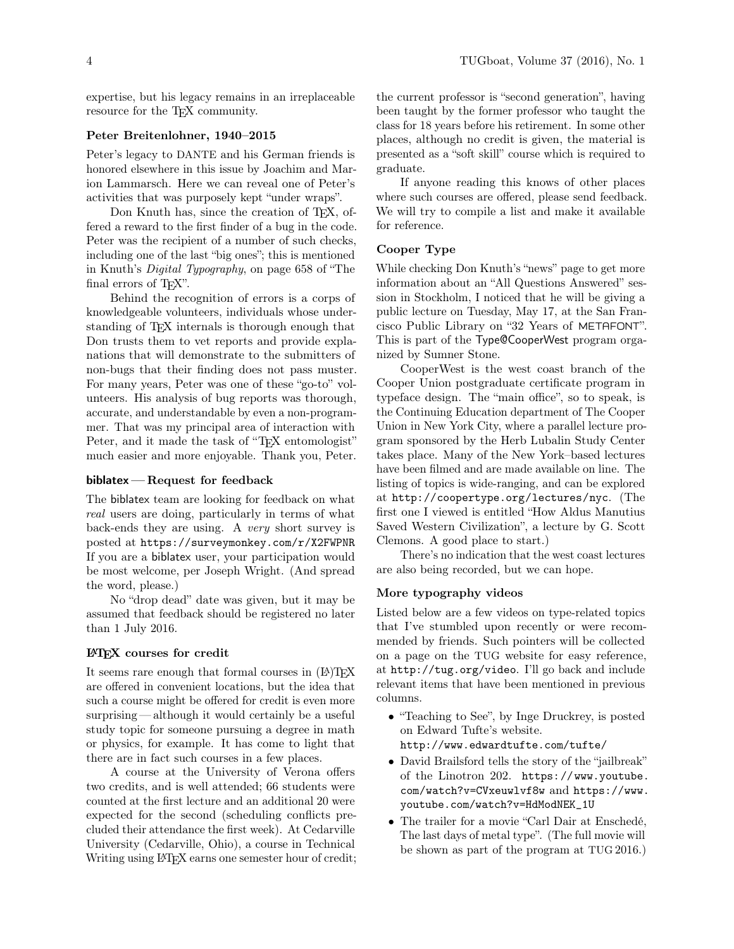expertise, but his legacy remains in an irreplaceable resource for the T<sub>EX</sub> community.

### Peter Breitenlohner, 1940–2015

Peter's legacy to DANTE and his German friends is honored elsewhere in this issue by Joachim and Marion Lammarsch. Here we can reveal one of Peter's activities that was purposely kept "under wraps".

Don Knuth has, since the creation of T<sub>E</sub>X, offered a reward to the first finder of a bug in the code. Peter was the recipient of a number of such checks, including one of the last "big ones"; this is mentioned in Knuth's Digital Typography, on page 658 of "The final errors of T<sub>FX</sub>".

Behind the recognition of errors is a corps of knowledgeable volunteers, individuals whose understanding of TEX internals is thorough enough that Don trusts them to vet reports and provide explanations that will demonstrate to the submitters of non-bugs that their finding does not pass muster. For many years, Peter was one of these "go-to" volunteers. His analysis of bug reports was thorough, accurate, and understandable by even a non-programmer. That was my principal area of interaction with Peter, and it made the task of "T<sub>EX</sub> entomologist" much easier and more enjoyable. Thank you, Peter.

## biblatex — Request for feedback

The biblatex team are looking for feedback on what real users are doing, particularly in terms of what back-ends they are using. A very short survey is posted at https://surveymonkey.com/r/X2FWPNR If you are a biblatex user, your participation would be most welcome, per Joseph Wright. (And spread the word, please.)

No "drop dead" date was given, but it may be assumed that feedback should be registered no later than 1 July 2016.

### LATEX courses for credit

It seems rare enough that formal courses in  $(L)$ TEX are offered in convenient locations, but the idea that such a course might be offered for credit is even more surprising — although it would certainly be a useful study topic for someone pursuing a degree in math or physics, for example. It has come to light that there are in fact such courses in a few places.

A course at the University of Verona offers two credits, and is well attended; 66 students were counted at the first lecture and an additional 20 were expected for the second (scheduling conflicts precluded their attendance the first week). At Cedarville University (Cedarville, Ohio), a course in Technical Writing using LATEX earns one semester hour of credit; the current professor is "second generation", having been taught by the former professor who taught the class for 18 years before his retirement. In some other places, although no credit is given, the material is presented as a "soft skill" course which is required to graduate.

If anyone reading this knows of other places where such courses are offered, please send feedback. We will try to compile a list and make it available for reference.

# Cooper Type

While checking Don Knuth's "news" page to get more information about an "All Questions Answered" session in Stockholm, I noticed that he will be giving a public lecture on Tuesday, May 17, at the San Francisco Public Library on "32 Years of METAFONT". This is part of the Type@CooperWest program organized by Sumner Stone.

CooperWest is the west coast branch of the Cooper Union postgraduate certificate program in typeface design. The "main office", so to speak, is the Continuing Education department of The Cooper Union in New York City, where a parallel lecture program sponsored by the Herb Lubalin Study Center takes place. Many of the New York–based lectures have been filmed and are made available on line. The listing of topics is wide-ranging, and can be explored at http://coopertype.org/lectures/nyc. (The first one I viewed is entitled "How Aldus Manutius Saved Western Civilization", a lecture by G. Scott Clemons. A good place to start.)

There's no indication that the west coast lectures are also being recorded, but we can hope.

### More typography videos

Listed below are a few videos on type-related topics that I've stumbled upon recently or were recommended by friends. Such pointers will be collected on a page on the TUG website for easy reference, at http://tug.org/video. I'll go back and include relevant items that have been mentioned in previous columns.

- "Teaching to See", by Inge Druckrey, is posted on Edward Tufte's website. http://www.edwardtufte.com/tufte/
- David Brailsford tells the story of the "jailbreak" of the Linotron 202. https://www.youtube. com/watch?v=CVxeuwlvf8w and https://www. youtube.com/watch?v=HdModNEK\_1U
- The trailer for a movie "Carl Dair at Enschedé, The last days of metal type". (The full movie will be shown as part of the program at TUG 2016.)